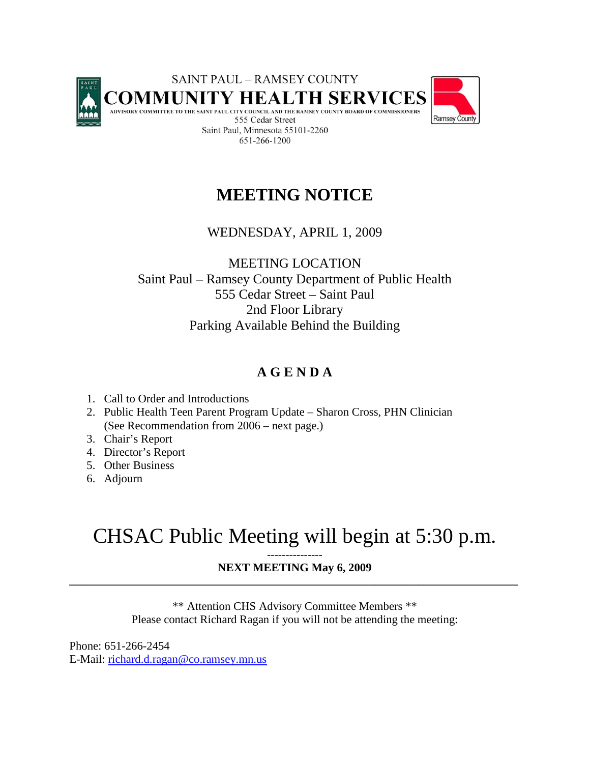

# **MEETING NOTICE**

## WEDNESDAY, APRIL 1, 2009

MEETING LOCATION Saint Paul – Ramsey County Department of Public Health 555 Cedar Street – Saint Paul 2nd Floor Library Parking Available Behind the Building

# **A G E N D A**

- 1. Call to Order and Introductions
- 2. Public Health Teen Parent Program Update Sharon Cross, PHN Clinician (See Recommendation from 2006 – next page.)
- 3. Chair's Report
- 4. Director's Report
- 5. Other Business
- 6. Adjourn

# CHSAC Public Meeting will begin at 5:30 p.m.

#### **NEXT MEETING May 6, 2009 \_\_\_\_\_\_\_\_\_\_\_\_\_\_\_\_\_\_\_\_\_\_\_\_\_\_\_\_\_\_\_\_\_\_\_\_\_\_\_\_\_\_\_\_\_\_\_\_\_\_\_\_\_\_\_\_\_\_\_\_\_\_\_\_\_\_\_\_\_\_\_\_\_\_\_\_\_\_\_\_\_**

\*\* Attention CHS Advisory Committee Members \*\* Please contact Richard Ragan if you will not be attending the meeting:

Phone: 651-266-2454 E-Mail: [richard.d.ragan@co.ramsey.mn.us](mailto:richard.d.ragan@co.ramsey.mn.us)